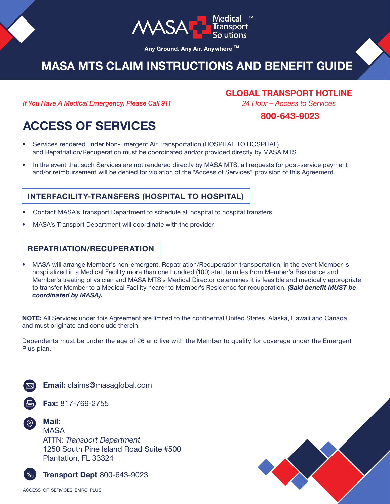

Any Ground. Any Air. Anywhere.<sup>™</sup>

# **MASA MTS CLAIM INSTRUCTIONS AND BENEFIT GUIDE**

*If You Have A Medical Emergency, Please Call 911*

**GLOBAL TRANSPORT HOTLINE** 

*24 Hour – Access to Services* **800-643-9023**

# **ACCESS OF SERVICES**

- Services rendered under Non-Emergent Air Transportation (HOSPITAL TO HOSPITAL) and Repatriation/Recuperation must be coordinated and/or provided directly by MASA MTS.
- � In the event that such Services are not rendered directly by MASA MTS, all requests for post-service payment and/or reimbursement will be denied for violation of the "Access of Services" provision of this Agreement.

## **INTERFACILITY-TRANSFERS (HOSPITAL TO HOSPITAL)**

- � Contact MASA's Transport Department to schedule all hospital to hospital transfers.
- MASA's Transport Department will coordinate with the provider.

# **REPATRIATION/RECUPERATION**

� MASA will arrange Member's non-emergent, Repatriation/Recuperation transportation, in the event Member is hospitalized in a Medical Facility more than one hundred (100) statute miles from Member's Residence and Member's treating physician and MASA MTS's Medical Director determines it is feasible and medically appropriate to transfer Member to a Medical Facility nearer to Member's Residence for recuperation. *(Said benefit MUST be coordinated by MASA).*

**NOTE:** All Services under this Agreement are limited to the continental United States, Alaska, Hawaii and Canada, and must originate and conclude therein.

Dependents must be under the age of 26 and live with the Member to qualify for coverage under the Emergent Plus plan.



**Fax:** 817-769-2755



**MASA** ATTN: *Transport Department* 1250 South Pine Island Road Suite #500 Plantation, FL 33324

**Transport Dept** 800-643-9023